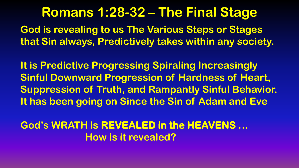**God is revealing to us The Various Steps or Stages that Sin always, Predictively takes within any society.**

**It is Predictive Progressing Spiraling Increasingly Sinful Downward Progression of Hardness of Heart, Suppression of Truth, and Rampantly Sinful Behavior. It has been going on Since the Sin of Adam and Eve** 

**God's WRATH is REVEALED in the HEAVENS … How is it revealed?**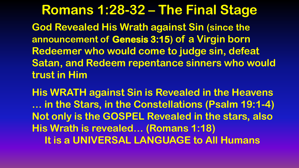**Romans 1:28-32 – The Final Stage God Revealed His Wrath against Sin (since the announcement of Genesis 3:15) of a Virgin born Redeemer who would come to judge sin, defeat Satan, and Redeem repentance sinners who would trust in Him**

**His WRATH against Sin is Revealed in the Heavens … in the Stars, in the Constellations (Psalm 19:1-4) Not only is the GOSPEL Revealed in the stars, also His Wrath is revealed… (Romans 1:18) It is a UNIVERSAL LANGUAGE to All Humans**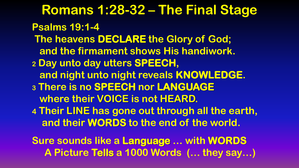**Romans 1:28-32 – The Final Stage Psalms 19:1-4 The heavens DECLARE the Glory of God; and the firmament shows His handiwork. <sup>2</sup> Day unto day utters SPEECH, and night unto night reveals KNOWLEDGE. <sup>3</sup> There is no SPEECH nor LANGUAGE where their VOICE is not HEARD. 4 Their LINE has gone out through all the earth, and their WORDS to the end of the world. Sure sounds like a Language … with WORDS A Picture Tells a 1000 Words (… they say…)**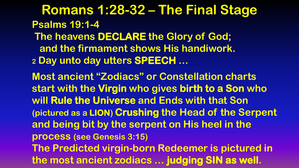**Romans 1:28-32 – The Final Stage Psalms 19:1-4 The heavens DECLARE the Glory of God; and the firmament shows His handiwork. <sup>2</sup> Day unto day utters SPEECH … Most ancient "Zodiacs" or Constellation charts start with the Virgin who gives birth to a Son who will Rule the Universe and Ends with that Son (pictured as a LION) Crushing the Head of the Serpent and being bit by the serpent on His heel in the** 

**process (see Genesis 3:15)** 

**The Predicted virgin-born Redeemer is pictured in the most ancient zodiacs … judging SIN as well.**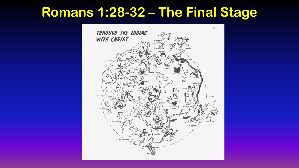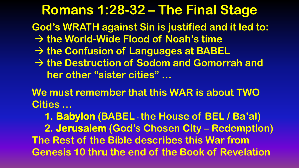**God's WRATH against Sin is justified and it led to:**

- **the World-Wide Flood of Noah's time**
- **the Confusion of Languages at BABEL**
- **the Destruction of Sodom and Gomorrah and her other "sister cities" …**

**We must remember that this WAR is about TWO Cities …** 

 **1. Babylon (BABEL -the House of BEL / Ba'al) 2. Jerusalem (God's Chosen City – Redemption) The Rest of the Bible describes this War from Genesis 10 thru the end of the Book of Revelation**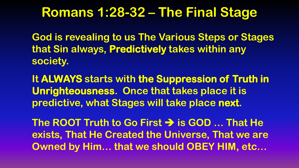**God is revealing to us The Various Steps or Stages that Sin always, Predictively takes within any society.**

**It ALWAYS starts with the Suppression of Truth in Unrighteousness. Once that takes place it is predictive, what Stages will take place next.**

**The ROOT Truth to Go First is GOD … That He exists, That He Created the Universe, That we are Owned by Him… that we should OBEY HIM, etc…**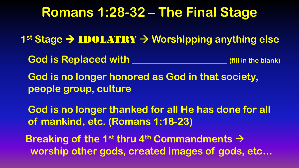**1st Stage → IDOLATRY → Worshipping anything else** 

God is Replaced with **Communist Code is Replaced with** 

**God is no longer honored as God in that society, people group, culture**

**God is no longer thanked for all He has done for all of mankind, etc. (Romans 1:18-23)**

**Breaking of the 1<sup>st</sup> thru 4<sup>th</sup> Commandments**  $\rightarrow$  **worship other gods, created images of gods, etc…**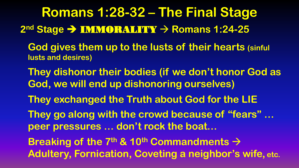**Romans 1:28-32 – The Final Stage 2<sup>nd</sup> Stage → IMMORALITY → Romans 1:24-25** 

- **God gives them up to the lusts of their hearts (sinful lusts and desires)**
- **They dishonor their bodies (if we don't honor God as God, we will end up dishonoring ourselves)**
- **They exchanged the Truth about God for the LIE**
- **They go along with the crowd because of "fears" … peer pressures … don't rock the boat…**
- **Breaking of the 7<sup>th</sup> & 10<sup>th</sup> Commandments**  $\rightarrow$ **Adultery, Fornication, Coveting a neighbor's wife, etc.**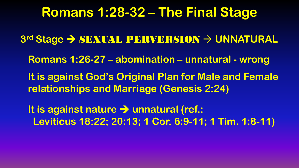**3 rd Stage**  SEXUAL PERVERSION **UNNATURAL Romans 1:26-27 – abomination – unnatural - wrong It is against God's Original Plan for Male and Female relationships and Marriage (Genesis 2:24) It is against nature → unnatural (ref.:** 

 **Leviticus 18:22; 20:13; 1 Cor. 6:9-11; 1 Tim. 1:8-11)**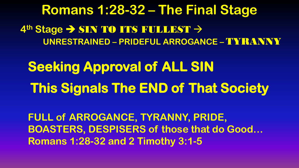**Seeking Approval of ALL SIN This Signals The END of That Society** 

**FULL of ARROGANCE, TYRANNY, PRIDE, BOASTERS, DESPISERS of those that do Good… Romans 1:28-32 and 2 Timothy 3:1-5**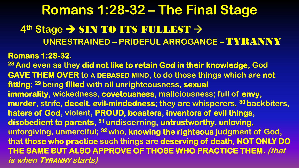### **Romans 1:28-32 – The Final Stage 4<sup>th</sup> Stage → SIN TO ITS FULLEST → UNRESTRAINED – PRIDEFUL ARROGANCE –** TYRANNY **Romans 1:28-32. <sup>28</sup>And even as they did not like to retain God in their knowledge, God GAVE THEM OVER to A DEBASED MIND, to do those things which are not fitting; <sup>29</sup>being filled with all unrighteousness, sexual immorality, wickedness, covetousness, maliciousness; full of envy, murder, strife, deceit, evil-mindedness; they are whisperers, <sup>30</sup>backbiters, haters of God, violent, PROUD, boasters, inventors of evil things, disobedient to parents, <sup>31</sup>undiscerning, untrustworthy, unloving, unforgiving, unmerciful; <sup>32</sup>who, knowing the righteous judgment of God, that those who practice such things are deserving of death, NOT ONLY DO THE SAME BUT ALSO APPROVE OF THOSE WHO PRACTICE THEM. (that is when TYRANNY starts)**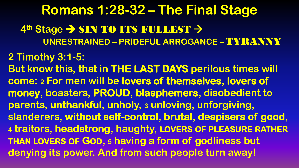#### **2 Timothy 3:1-5:**

**But know this, that in THE LAST DAYS perilous times will come: <sup>2</sup> For men will be lovers of themselves, lovers of money, boasters, PROUD, blasphemers, disobedient to parents, unthankful, unholy, <sup>3</sup> unloving, unforgiving, slanderers, without self-control, brutal, despisers of good, <sup>4</sup> traitors, headstrong, haughty, LOVERS OF PLEASURE RATHER THAN LOVERS OF GOD, <sup>5</sup> having a form of godliness but denying its power. And from such people turn away!**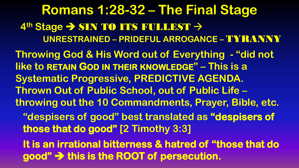**Romans 1:28-32 – The Final Stage 4<sup>th</sup> Stage → SIN TO ITS FULLEST → UNRESTRAINED – PRIDEFUL ARROGANCE –** TYRANNY **Throwing God & His Word out of Everything - "did not like to RETAIN GOD IN THEIR KNOWLEDGE" – This is a Systematic Progressive, PREDICTIVE AGENDA. Thrown Out of Public School, out of Public Life – throwing out the 10 Commandments, Prayer, Bible, etc. "despisers of good" best translated as "despisers of those that do good" [2 Timothy 3:3] It is an irrational bitterness & hatred of "those that do good" this is the ROOT of persecution.**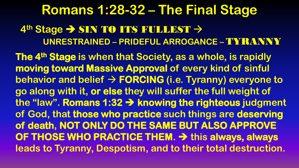**The 4th Stage is when that Society, as a whole, is rapidly moving toward Massive Approval of every kind of sinful behavior and belief FORCING (i.e. Tyranny) everyone to go along with it, or else they will suffer the full weight of the "law". Romans 1:32 knowing the righteous judgment of God, that those who practice such things are deserving of death, NOT ONLY DO THE SAME BUT ALSO APPROVE OF THOSE WHO PRACTICE THEM.**  $\rightarrow$  this always, always **leads to Tyranny, Despotism, and to their total destruction.**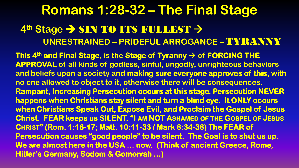**This 4th and Final Stage, is the Stage of Tyranny of FORCING THE APPROVAL of all kinds of godless, sinful, ungodly, unrighteous behaviors and beliefs upon a society and making sure everyone approves of this, with no one allowed to object to it, otherwise there will be consequences. Rampant, Increasing Persecution occurs at this stage. Persecution NEVER happens when Christians stay silent and turn a blind eye. It ONLY occurs when Christians Speak Out, Expose Evil, and Proclaim the Gospel of Jesus Christ. FEAR keeps us SILENT. "I AM NOT ASHAMED OF THE GOSPEL OF JESUS CHRIST" (Rom. 1:16-17; Matt. 10:11-33 / Mark 8:34-38) The FEAR of Persecution causes "good people" to be silent. The Goal is to shut us up. We are almost here in the USA … now. (Think of ancient Greece, Rome, Hitler's Germany, Sodom & Gomorrah …)**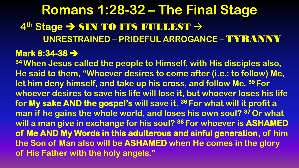**<sup>34</sup>When Jesus called the people to Himself, with His disciples also, He said to them, "Whoever desires to come after (i.e.: to follow) Me, let him deny himself, and take up his cross, and follow Me. <sup>35</sup>For whoever desires to save his life will lose it, but whoever loses his life for My sake AND the gospel's will save it. <sup>36</sup>For what will it profit a man if he gains the whole world, and loses his own soul? <sup>37</sup>Or what will a man give in exchange for his soul? <sup>38</sup>For whoever is ASHAMED of Me AND My Words in this adulterous and sinful generation, of him the Son of Man also will be ASHAMED when He comes in the glory of His Father with the holy angels."**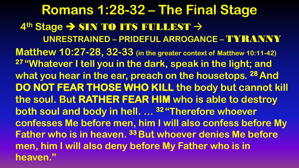**Romans 1:28-32 – The Final Stage 4<sup>th</sup> Stage → SIN TO ITS FULLEST → UNRESTRAINED – PRIDEFUL ARROGANCE –** TYRANNY **Matthew 10:27-28, 32-33 (in the greater context of Matthew 10:11-42) <sup>27</sup>"Whatever I tell you in the dark, speak in the light; and what you hear in the ear, preach on the housetops. <sup>28</sup>And DO NOT FEAR THOSE WHO KILL the body but cannot kill the soul. But RATHER FEAR HIM who is able to destroy both soul and body in hell. … <sup>32</sup>"Therefore whoever confesses Me before men, him I will also confess before My Father who is in heaven. <sup>33</sup>But whoever denies Me before men, him I will also deny before My Father who is in heaven."**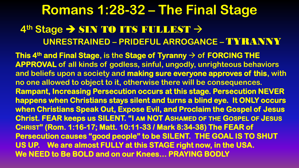**This 4th and Final Stage, is the Stage of Tyranny of FORCING THE APPROVAL of all kinds of godless, sinful, ungodly, unrighteous behaviors and beliefs upon a society and making sure everyone approves of this, with no one allowed to object to it, otherwise there will be consequences. Rampant, Increasing Persecution occurs at this stage. Persecution NEVER happens when Christians stays silent and turns a blind eye. It ONLY occurs when Christians Speak Out, Expose Evil, and Proclaim the Gospel of Jesus Christ. FEAR keeps us SILENT. "I AM NOT ASHAMED OF THE GOSPEL OF JESUS CHRIST" (Rom. 1:16-17; Matt. 10:11-33 / Mark 8:34-38) The FEAR of Persecution causes "good people" to be SILENT. THE GOAL IS TO SHUT US UP. We are almost FULLY at this STAGE right now, in the USA. We NEED to Be BOLD and on our Knees… PRAYING BODLY**